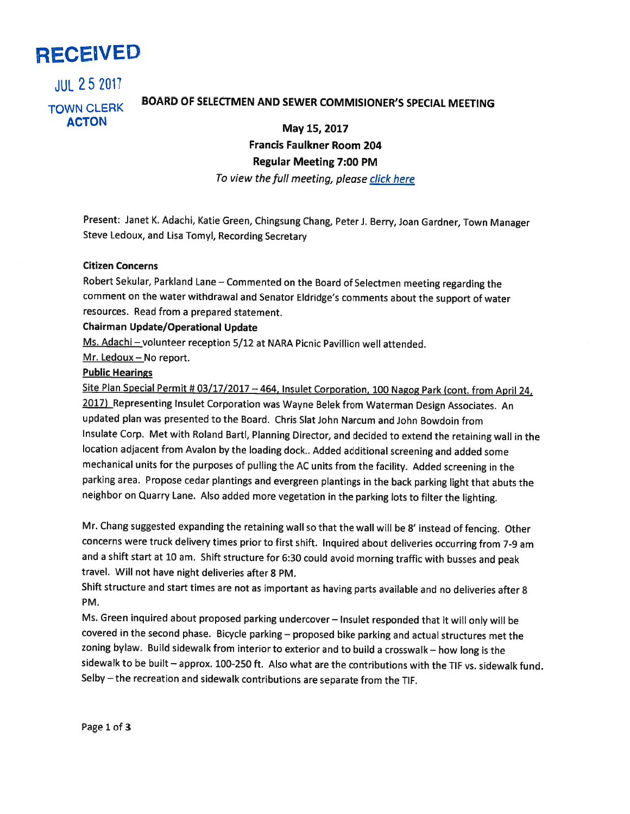

**JUL 25 2017** 

# BOARD OF SELECTMEN AND SEWER COMMISIONER'S SPECIAL MEETING TOWN CLERK

ACTON May 15, 2017 Francis Faulkner Room 204 Regular Meeting 7:00 PM

To view the full meeting, please click here

Present: Janet K. Adachi, Katie Green, Chingsung Chang, Peter J. Berry, Joan Gardner, Town Manager Steve Ledoux, and Lisa Tomyl, Recording Secretary

#### Citizen Concerns

Robert Sekular, Parkland Lane — Commented on the Board of Selectmen meeting regarding the comment on the water withdrawal and Senator Eldridge's comments about the support of water resources. Read from <sup>a</sup> prepared statement.

# Chairman Update/Operational Update

Ms. Adachi-volunteer reception 5/12 at NARA Picnic Pavillion well attended.

Mr. Ledoux—No report.

## Public Hearings

Site Plan Special Permit # 03/17/2017 - 464, Insulet Corporation, 100 Nagog Park (cont. from April 24, 2017) Representing Insulet Corporation was Wayne Belek from Waterman Design Associates. An updated plan was presented to the Board. Chris Slat John Narcum and John Bowdoin from Insulate Corp. Met with Roland Bartl, Planning Director, and decided to extend the retaining wall in the location adjacent from Avalon by the loading dock.. Added additional screening and added some mechanical units for the purposes of pulling the AC units from the facility. Added screening in the parking area. Propose cedar <sup>p</sup>lantings and evergreen <sup>p</sup>lantings in the back parking light that abuts the neighbor on Quarry Lane. Also added more vegetation in the parking lots to filter the lighting.

Mr. Chang suggested expanding the retaining wall so that the wall will be 8' instead of fencing. Other concerns were truck delivery times prior to first shift. Inquired about deliveries occurring from 7-9 am and <sup>a</sup> shift start at <sup>10</sup> am. Shift structure for 6:30 could avoid morning traffic with busses and peak travel. Will not have night deliveries after 8 PM.

Shift structure and start times are not as important as having parts available and no deliveries after <sup>8</sup> PM.

Ms. Green inquired about proposed parking undercover — Insulet responded that it will only will be covered in the second <sup>p</sup>hase. Bicycle parking — proposed bike parking and actual structures met the zoning bylaw. Build sidewalk from interior to exterior and to build <sup>a</sup> crosswalk — how long is the sidewalk to be built — approx. 100-250 ft. Also what are the contributions with the TIF vs. sidewalk fund. Selby — the recreation and sidewalk contributions are separate from the TIF.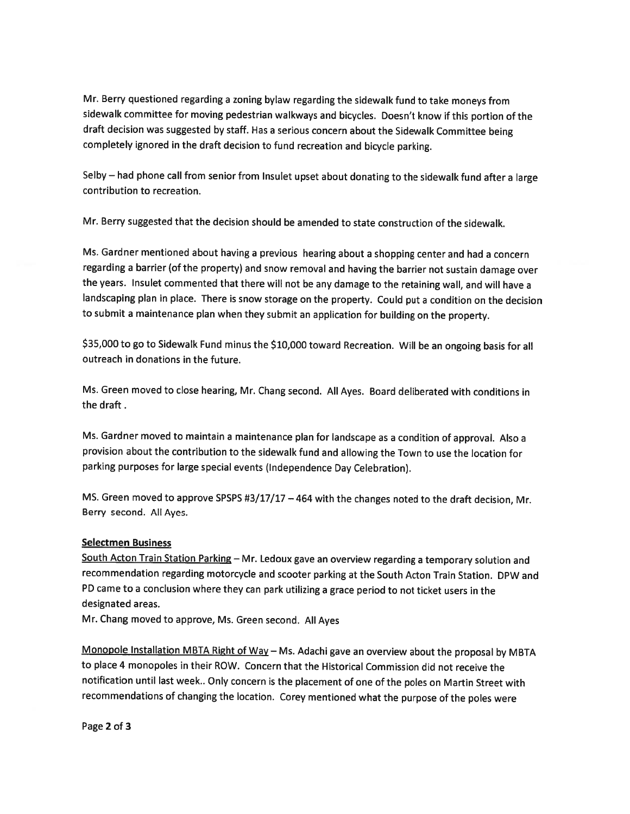Mr. Berry questioned regarding <sup>a</sup> zoning bylaw regarding the sidewalk fund to take moneys from sidewalk committee for moving pedestrian walkways and bicycles. Doesn't know if this portion of the draft decision was suggested by staff. Has <sup>a</sup> serious concern about the Sidewalk Committee being completely ignored in the draft decision to fund recreation and bicycle parking.

Selby — had <sup>p</sup>hone call from senior from Insulet upset about donating to the sidewalk fund after <sup>a</sup> large contribution to recreation.

Mr. Berry suggested that the decision should be amended to state construction of the sidewalk.

Ms. Gardner mentioned about having <sup>a</sup> previous hearing about <sup>a</sup> shopping center and had <sup>a</sup> concern regarding <sup>a</sup> barrier (of the property) and snow removal and having the barrier not sustain damage over the years. Insulet commented that there will not be any damage to the retaining wall, and will have <sup>a</sup> landscaping <sup>p</sup>lan in <sup>p</sup>lace. There is snow storage on the property. Could put <sup>a</sup> condition on the decision to submit <sup>a</sup> maintenance <sup>p</sup>lan when they submit an application for building on the property.

\$35,000 to go to Sidewalk Fund minus the \$10,000 toward Recreation. Will be an ongoing basis for all outreach in donations in the future.

Ms. Green moved to close hearing, Mr. Chang second. All Ayes. Board deliberated with conditions in the draft

Ms. Gardner moved to maintain <sup>a</sup> maintenance <sup>p</sup>lan for landscape as <sup>a</sup> condition of approval. Also <sup>a</sup> provision about the contribution to the sidewalk fund and allowing the Town to use the location for parking purposes for large special events (Independence Day Celebration).

MS. Green moved to approve SPSPS #3/17/17 - 464 with the changes noted to the draft decision, Mr. Berry second. All Ayes.

### **Selectmen Business**

South Acton Train Station Parking - Mr. Ledoux gave an overview regarding a temporary solution and recommendation regarding motorcycle and scooter parking at the South Acton Train Station. DPW and PD came to <sup>a</sup> conclusion where they can park utilizing <sup>a</sup> grace period to not ticket users in the designated areas.

Mr. Chang moved to approve, Ms. Green second. All Ayes

Monopole Installation MBTA Right of Way - Ms. Adachi gave an overview about the proposal by MBTA to place 4 monopoles in their ROW. Concern that the Historical Commission did not receive the notification until last week.. Only concern is the <sup>p</sup>lacement of one of the poles on Martin Street with recommendations of changing the location. Corey mentioned what the purpose of the poles were

Page 2 of 3